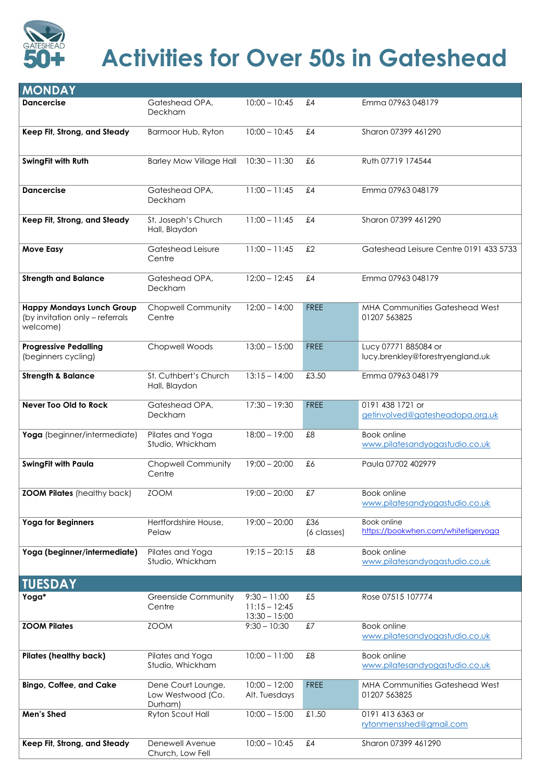| <b>MONDAY</b>                                                                   |                                        |                 |                    |                                                           |
|---------------------------------------------------------------------------------|----------------------------------------|-----------------|--------------------|-----------------------------------------------------------|
| <b>Dancercise</b>                                                               | Gateshead OPA,<br><b>Deckham</b>       | $10:00 - 10:45$ | £4                 | Emma 07963 048179                                         |
| Keep Fit, Strong, and Steady                                                    | Barmoor Hub, Ryton                     | $10:00 - 10:45$ | £4                 | Sharon 07399 461290                                       |
| SwingFit with Ruth                                                              | <b>Barley Mow Village Hall</b>         | $10:30 - 11:30$ | £6                 | Ruth 07719 174544                                         |
| <b>Dancercise</b>                                                               | Gateshead OPA,<br>Deckham              | $11:00 - 11:45$ | £4                 | Emma 07963 048179                                         |
| Keep Fit, Strong, and Steady                                                    | St. Joseph's Church<br>Hall, Blaydon   | $11:00 - 11:45$ | £4                 | Sharon 07399 461290                                       |
| <b>Move Easy</b>                                                                | Gateshead Leisure<br>Centre            | $11:00 - 11:45$ | £2                 | Gateshead Leisure Centre 0191 433 5733                    |
| <b>Strength and Balance</b>                                                     | Gateshead OPA,<br><b>Deckham</b>       | $12:00 - 12:45$ | £4                 | Emma 07963 048179                                         |
| <b>Happy Mondays Lunch Group</b><br>(by invitation only – referrals<br>welcome) | <b>Chopwell Community</b><br>Centre    | $12:00 - 14:00$ | <b>FREE</b>        | <b>MHA Communities Gateshead West</b><br>01207 563825     |
| <b>Progressive Pedalling</b><br>(beginners cycling)                             | <b>Chopwell Woods</b>                  | $13:00 - 15:00$ | <b>FREE</b>        | Lucy 07771 885084 or<br>lucy.brenkley@forestryengland.uk  |
| <b>Strength &amp; Balance</b>                                                   | St. Cuthbert's Church<br>Hall, Blaydon | $13:15 - 14:00$ | £3.50              | Emma 07963 048179                                         |
| <b>Never Too Old to Rock</b>                                                    | Gateshead OPA,<br><b>Deckham</b>       | $17:30 - 19:30$ | <b>FREE</b>        | 0191 438 1721 or<br>getinvolved@gatesheadopa.org.uk       |
| Yoga (beginner/intermediate)                                                    | Pilates and Yoga<br>Studio, Whickham   | $18:00 - 19:00$ | £8                 | <b>Book online</b><br>www.pilatesandyogastudio.co.uk      |
| <b>SwingFit with Paula</b>                                                      | <b>Chopwell Community</b><br>Centre    | $19:00 - 20:00$ | £6                 | Paula 07702 402979                                        |
| <b>ZOOM Pilates</b> (healthy back)                                              | <b>ZOOM</b>                            | $19:00 - 20:00$ | £7                 | <b>Book online</b><br>www.pilatesandyogastudio.co.uk      |
| <b>Yoga for Beginners</b>                                                       | Hertfordshire House,<br>Pelaw          | $19:00 - 20:00$ | £36<br>(6 classes) | <b>Book online</b><br>https://bookwhen.com/whitetigeryoga |
| Yoga (beginner/intermediate)                                                    | Pilates and Yoga<br>Studio, Whickham   | $19:15 - 20:15$ | £8                 | <b>Book online</b><br>www.pilatesandyogastudio.co.uk      |
| <b>TUESDAY</b>                                                                  |                                        |                 |                    |                                                           |



## **Activities for Over 50s in Gateshead**

| Yoga*                          | <b>Greenside Community</b><br>Centre               | $9:30 - 11:00$<br>$11:15 - 12:45$<br>$13:30 - 15:00$ | £5          | Rose 07515 107774                                     |
|--------------------------------|----------------------------------------------------|------------------------------------------------------|-------------|-------------------------------------------------------|
| <b>ZOOM Pilates</b>            | <b>ZOOM</b>                                        | $9:30 - 10:30$                                       | £7          | Book online<br>www.pilatesandyogastudio.co.uk         |
| <b>Pilates (healthy back)</b>  | Pilates and Yoga<br>Studio, Whickham               | $10:00 - 11:00$                                      | £8          | Book online<br>www.pilatesandyogastudio.co.uk         |
| <b>Bingo, Coffee, and Cake</b> | Dene Court Lounge,<br>Low Westwood (Co.<br>Durham) | $10:00 - 12:00$<br>Alt. Tuesdays                     | <b>FREE</b> | <b>MHA Communities Gateshead West</b><br>01207 563825 |
| Men's Shed                     | Ryton Scout Hall                                   | $10:00 - 15:00$                                      | £1.50       | 0191 413 6363 or<br>rytonmensshed@gmail.com           |
| Keep Fit, Strong, and Steady   | Denewell Avenue<br>Church, Low Fell                | $10:00 - 10:45$                                      | £4          | Sharon 07399 461290                                   |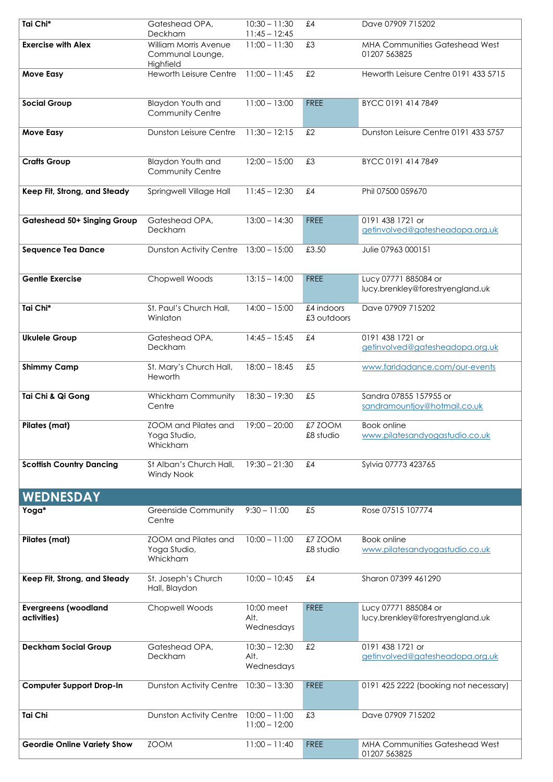| Tai Chi*                                   | Gateshead OPA,                                          | $10:30 - 11:30$                       | £4                        | Dave 07909 715202                                        |
|--------------------------------------------|---------------------------------------------------------|---------------------------------------|---------------------------|----------------------------------------------------------|
| <b>Exercise with Alex</b>                  | Deckham<br><b>William Morris Avenue</b>                 | $11:45 - 12:45$<br>$11:00 - 11:30$    | £3                        | <b>MHA Communities Gateshead West</b>                    |
|                                            | Communal Lounge,<br>Highfield                           |                                       |                           | 01207 563825                                             |
| <b>Move Easy</b>                           | <b>Heworth Leisure Centre</b>                           | $11:00 - 11:45$                       | £2                        | Heworth Leisure Centre 0191 433 5715                     |
|                                            |                                                         |                                       |                           |                                                          |
| <b>Social Group</b>                        | Blaydon Youth and                                       | $11:00 - 13:00$                       | <b>FREE</b>               | BYCC 0191 414 7849                                       |
|                                            | <b>Community Centre</b>                                 |                                       |                           |                                                          |
| <b>Move Easy</b>                           | <b>Dunston Leisure Centre</b>                           | $11:30 - 12:15$                       | £2                        | Dunston Leisure Centre 0191 433 5757                     |
| <b>Crafts Group</b>                        | <b>Blaydon Youth and</b>                                | $12:00 - 15:00$                       | £3                        | BYCC 0191 414 7849                                       |
|                                            | <b>Community Centre</b>                                 |                                       |                           |                                                          |
| Keep Fit, Strong, and Steady               | Springwell Village Hall                                 | $11:45 - 12:30$                       | £4                        | Phil 07500 059670                                        |
| <b>Gateshead 50+ Singing Group</b>         | Gateshead OPA,                                          | $13:00 - 14:30$                       | <b>FREE</b>               | 0191 438 1721 or                                         |
|                                            | Deckham                                                 |                                       |                           | getinvolved@gatesheadopa.org.uk                          |
| <b>Sequence Tea Dance</b>                  | Dunston Activity Centre 13:00 - 15:00                   |                                       | £3.50                     | Julie 07963 000151                                       |
| <b>Gentle Exercise</b>                     | <b>Chopwell Woods</b>                                   | $13:15 - 14:00$                       | <b>FREE</b>               | Lucy 07771 885084 or<br>lucy.brenkley@forestryengland.uk |
| Tai Chi*                                   | St. Paul's Church Hall,<br>Winlaton                     | $14:00 - 15:00$                       | £4 indoors<br>£3 outdoors | Dave 07909 715202                                        |
| <b>Ukulele Group</b>                       | Gateshead OPA,<br>Deckham                               | $14:45 - 15:45$                       | £4                        | 0191 438 1721 or<br>getinvolved@gatesheadopa.org.uk      |
| <b>Shimmy Camp</b>                         | St. Mary's Church Hall,                                 | $18:00 - 18:45$                       | £5                        | www.faridadance.com/our-events                           |
|                                            | Heworth                                                 |                                       |                           |                                                          |
| Tai Chi & Qi Gong                          | <b>Whickham Community</b><br>Centre                     | $18:30 - 19:30$                       | £5                        | Sandra 07855 157955 or<br>sandramountjoy@hotmail.co.uk   |
| <b>Pilates (mat)</b>                       | <b>ZOOM</b> and Pilates and<br>Yoga Studio,<br>Whickham | $19:00 - 20:00$                       | £7 ZOOM<br>£8 studio      | <b>Book online</b><br>www.pilatesandyogastudio.co.uk     |
| <b>Scottish Country Dancing</b>            | St Alban's Church Hall,<br><b>Windy Nook</b>            | $19:30 - 21:30$                       | £4                        | Sylvia 07773 423765                                      |
| <b>WEDNESDAY</b>                           |                                                         |                                       |                           |                                                          |
| Yoga*                                      | <b>Greenside Community</b>                              | $9:30 - 11:00$                        | £5                        | Rose 07515 107774                                        |
|                                            | Centre                                                  |                                       |                           |                                                          |
| <b>Pilates (mat)</b>                       | <b>ZOOM</b> and Pilates and<br>Yoga Studio,<br>Whickham | $10:00 - 11:00$                       | £7 ZOOM<br>£8 studio      | <b>Book online</b><br>www.pilatesandyogastudio.co.uk     |
| Keep Fit, Strong, and Steady               | St. Joseph's Church<br>Hall, Blaydon                    | $10:00 - 10:45$                       | £4                        | Sharon 07399 461290                                      |
| <b>Evergreens (woodland</b><br>activities) | Chopwell Woods                                          | 0:00 meet<br>Alt.<br>Wednesdays       | <b>FREE</b>               | Lucy 07771 885084 or<br>lucy.brenkley@forestryengland.uk |
| <b>Deckham Social Group</b>                | Gateshead OPA,<br>Deckham                               | $10:30 - 12:30$<br>Alt.<br>Wednesdays | £2                        | 0191 438 1721 or<br>getinvolved@gatesheadopa.org.uk      |
| <b>Computer Support Drop-In</b>            | <b>Dunston Activity Centre</b>                          | $10:30 - 13:30$                       | <b>FREE</b>               | 0191 425 2222 (booking not necessary)                    |
| <b>Tai Chi</b>                             | <b>Dunston Activity Centre</b>                          | $10:00 - 11:00$<br>$11:00 - 12:00$    | £3                        | Dave 07909 715202                                        |
| <b>Geordie Online Variety Show</b>         | <b>ZOOM</b>                                             | $11:00 - 11:40$                       | <b>FREE</b>               | <b>MHA Communities Gateshead West</b><br>01207 563825    |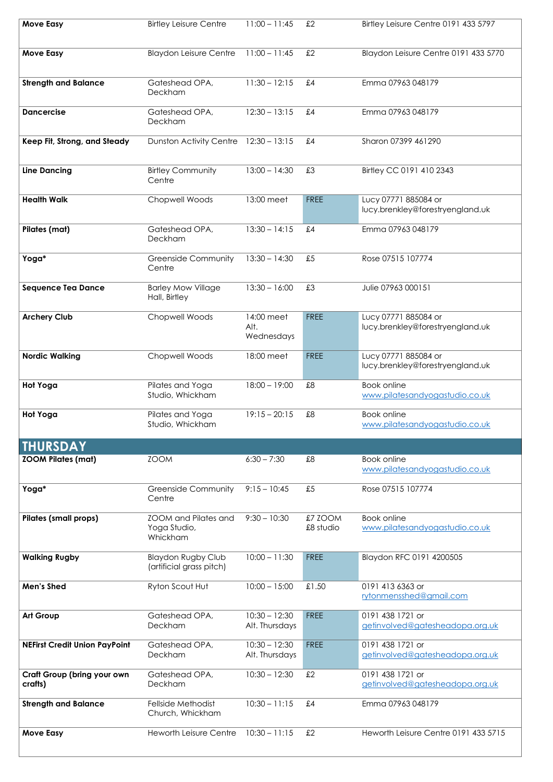| <b>Move Easy</b>             | <b>Birtley Leisure Centre</b>                           | $11:00 - 11:45$                  | £2                   | Birtley Leisure Centre 0191 433 5797                     |
|------------------------------|---------------------------------------------------------|----------------------------------|----------------------|----------------------------------------------------------|
| <b>Move Easy</b>             | <b>Blaydon Leisure Centre</b>                           | $11:00 - 11:45$                  | £2                   | Blaydon Leisure Centre 0191 433 5770                     |
| <b>Strength and Balance</b>  | Gateshead OPA,<br><b>Deckham</b>                        | $11:30 - 12:15$                  | £4                   | Emma 07963 048179                                        |
| <b>Dancercise</b>            | Gateshead OPA,<br><b>Deckham</b>                        | $12:30 - 13:15$                  | £4                   | Emma 07963 048179                                        |
| Keep Fit, Strong, and Steady | <b>Dunston Activity Centre</b>                          | $12:30 - 13:15$                  | £4                   | Sharon 07399 461290                                      |
| <b>Line Dancing</b>          | <b>Birtley Community</b><br>Centre                      | $13:00 - 14:30$                  | £3                   | Birtley CC 0191 410 2343                                 |
| <b>Health Walk</b>           | Chopwell Woods                                          | 13:00 meet                       | <b>FREE</b>          | Lucy 07771 885084 or<br>lucy.brenkley@forestryengland.uk |
| <b>Pilates (mat)</b>         | Gateshead OPA,<br>Deckham                               | $13:30 - 14:15$                  | £4                   | Emma 07963 048179                                        |
| Yoga*                        | <b>Greenside Community</b><br>Centre                    | $13:30 - 14:30$                  | £5                   | Rose 07515 107774                                        |
| <b>Sequence Tea Dance</b>    | <b>Barley Mow Village</b><br>Hall, Birtley              | $13:30 - 16:00$                  | £3                   | Julie 07963 000151                                       |
| <b>Archery Club</b>          | <b>Chopwell Woods</b>                                   | 14:00 meet<br>Alt.<br>Wednesdays | <b>FREE</b>          | Lucy 07771 885084 or<br>lucy.brenkley@forestryengland.uk |
| <b>Nordic Walking</b>        | <b>Chopwell Woods</b>                                   | 18:00 meet                       | <b>FREE</b>          | Lucy 07771 885084 or<br>lucy.brenkley@forestryengland.uk |
| <b>Hot Yoga</b>              | Pilates and Yoga<br>Studio, Whickham                    | $18:00 - 19:00$                  | £8                   | <b>Book online</b><br>www.pilatesandyogastudio.co.uk     |
| <b>Hot Yoga</b>              | Pilates and Yoga<br>Studio, Whickham                    | $19:15 - 20:15$                  | £8                   | <b>Book online</b><br>www.pilatesandyogastudio.co.uk     |
| <b>THURSDAY</b>              |                                                         |                                  |                      |                                                          |
| <b>ZOOM Pilates (mat)</b>    | <b>ZOOM</b>                                             | $6:30 - 7:30$                    | £8                   | <b>Book online</b><br>www.pilatesandyogastudio.co.uk     |
| Yoga*                        | <b>Greenside Community</b><br>Centre                    | $9:15 - 10:45$                   | £5                   | Rose 07515 107774                                        |
| <b>Pilates (small props)</b> | <b>ZOOM</b> and Pilates and<br>Yoga Studio,<br>Whickham | $9:30 - 10:30$                   | £7 ZOOM<br>£8 studio | <b>Book online</b><br>www.pilatesandyogastudio.co.uk     |
| <b>Walking Rugby</b>         | <b>Blaydon Rugby Club</b><br>(artificial grass pitch)   | $10:00 - 11:30$                  | <b>FREE</b>          | Blaydon RFC 0191 4200505                                 |
| <b>Men's Shed</b>            | Ryton Scout Hut                                         | $10:00 - 15:00$                  | £1.50                | 0191 413 6363 or                                         |

## [rytonmensshed@gmail.com](mailto:rytonmensshed@gmail.com)

| <b>Art Group</b>                              | Gateshead OPA,<br><b>Deckham</b>       | $10:30 - 12:30$<br>Alt. Thursdays | <b>FREE</b> | 0191 438 1721 or<br>getinvolved@gatesheadopa.org.uk |
|-----------------------------------------------|----------------------------------------|-----------------------------------|-------------|-----------------------------------------------------|
| <b>NEFirst Credit Union PayPoint</b>          | Gateshead OPA,<br><b>Deckham</b>       | $10:30 - 12:30$<br>Alt. Thursdays | <b>FREE</b> | 0191 438 1721 or<br>getinvolved@gatesheadopa.org.uk |
| <b>Craft Group (bring your own</b><br>crafts) | Gateshead OPA,<br><b>Deckham</b>       | $10:30 - 12:30$                   | £2          | 0191 438 1721 or<br>getinvolved@gatesheadopa.org.uk |
| <b>Strength and Balance</b>                   | Fellside Methodist<br>Church, Whickham | $10:30 - 11:15$                   | f.4         | Emma 07963 048179                                   |
| <b>Move Easy</b>                              | <b>Heworth Leisure Centre</b>          | $10:30 - 11:15$                   | £2          | Heworth Leisure Centre 0191 433 5715                |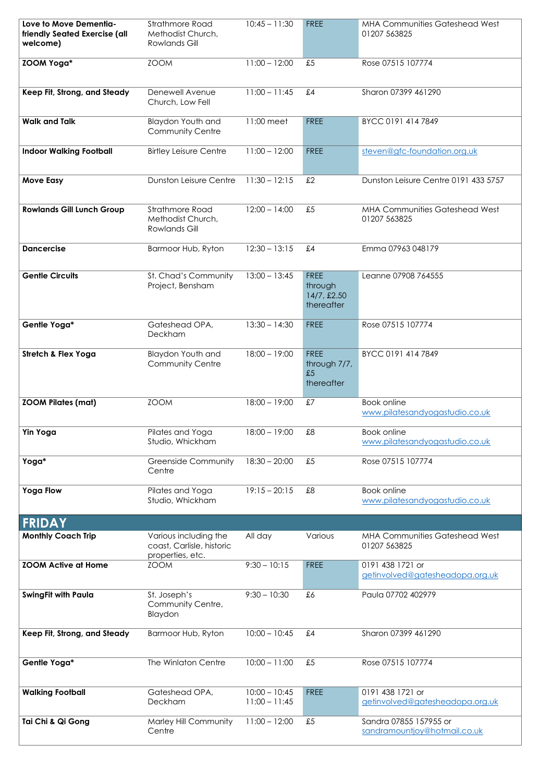| Love to Move Dementia-<br>friendly Seated Exercise (all<br>welcome) | Strathmore Road<br>Methodist Church,<br><b>Rowlands Gill</b>           | $10:45 - 11:30$                    | <b>FREE</b>                                            | <b>MHA Communities Gateshead West</b><br>01207 563825  |
|---------------------------------------------------------------------|------------------------------------------------------------------------|------------------------------------|--------------------------------------------------------|--------------------------------------------------------|
| <b>ZOOM Yoga*</b>                                                   | <b>ZOOM</b>                                                            | $11:00 - 12:00$                    | £5                                                     | Rose 07515 107774                                      |
| Keep Fit, Strong, and Steady                                        | Denewell Avenue<br>Church, Low Fell                                    | $11:00 - 11:45$                    | £4                                                     | Sharon 07399 461290                                    |
| <b>Walk and Talk</b>                                                | <b>Blaydon Youth and</b><br><b>Community Centre</b>                    | 11:00 meet                         | <b>FREE</b>                                            | BYCC 0191 414 7849                                     |
| <b>Indoor Walking Football</b>                                      | <b>Birtley Leisure Centre</b>                                          | $11:00 - 12:00$                    | <b>FREE</b>                                            | steven@gfc-foundation.org.uk                           |
| <b>Move Easy</b>                                                    | <b>Dunston Leisure Centre</b>                                          | $11:30 - 12:15$                    | £2                                                     | Dunston Leisure Centre 0191 433 5757                   |
| <b>Rowlands Gill Lunch Group</b>                                    | <b>Strathmore Road</b><br>Methodist Church,<br><b>Rowlands Gill</b>    | $12:00 - 14:00$                    | £5                                                     | <b>MHA Communities Gateshead West</b><br>01207 563825  |
| <b>Dancercise</b>                                                   | Barmoor Hub, Ryton                                                     | $12:30 - 13:15$                    | £4                                                     | Emma 07963 048179                                      |
| <b>Gentle Circuits</b>                                              | St. Chad's Community<br>Project, Bensham                               | $13:00 - 13:45$                    | <b>FREE</b><br>through<br>$14/7$ , £2.50<br>thereafter | Leanne 07908 764555                                    |
| Gentle Yoga*                                                        | Gateshead OPA,<br>Deckham                                              | $13:30 - 14:30$                    | <b>FREE</b>                                            | Rose 07515 107774                                      |
| <b>Stretch &amp; Flex Yoga</b>                                      | <b>Blaydon Youth and</b><br><b>Community Centre</b>                    | $18:00 - 19:00$                    | <b>FREE</b><br>through 7/7,<br>£5<br>thereafter        | BYCC 0191 414 7849                                     |
| <b>ZOOM Pilates (mat)</b>                                           | <b>ZOOM</b>                                                            | $18:00 - 19:00$                    | £7                                                     | <b>Book online</b><br>www.pilatesandyogastudio.co.uk   |
| <b>Yin Yoga</b>                                                     | Pilates and Yoga<br>Studio, Whickham                                   | $18:00 - 19:00$                    | £8                                                     | <b>Book online</b><br>www.pilatesandyogastudio.co.uk   |
| Yoga*                                                               | <b>Greenside Community</b><br>Centre                                   | $18:30 - 20:00$                    | £5                                                     | Rose 07515 107774                                      |
| <b>Yoga Flow</b>                                                    | Pilates and Yoga<br>Studio, Whickham                                   | $19:15 - 20:15$                    | £8                                                     | <b>Book online</b><br>www.pilatesandyogastudio.co.uk   |
| <b>FRIDAY</b>                                                       |                                                                        |                                    |                                                        |                                                        |
| <b>Monthly Coach Trip</b>                                           | Various including the<br>coast, Carlisle, historic<br>properties, etc. | All day                            | Various                                                | <b>MHA Communities Gateshead West</b><br>01207 563825  |
| <b>ZOOM Active at Home</b>                                          | <b>ZOOM</b>                                                            | $9:30 - 10:15$                     | <b>FREE</b>                                            | 0191 438 1721 or<br>getinvolved@gatesheadopa.org.uk    |
| <b>SwingFit with Paula</b>                                          | St. Joseph's<br>Community Centre,<br>Blaydon                           | $9:30 - 10:30$                     | £6                                                     | Paula 07702 402979                                     |
| Keep Fit, Strong, and Steady                                        | Barmoor Hub, Ryton                                                     | $10:00 - 10:45$                    | £4                                                     | Sharon 07399 461290                                    |
| Gentle Yoga*                                                        | The Winlaton Centre                                                    | $10:00 - 11:00$                    | £5                                                     | Rose 07515 107774                                      |
| <b>Walking Football</b>                                             | Gateshead OPA,<br>Deckham                                              | $10:00 - 10:45$<br>$11:00 - 11:45$ | <b>FREE</b>                                            | 0191 438 1721 or<br>getinvolved@gatesheadopa.org.uk    |
| Tai Chi & Qi Gong                                                   | Marley Hill Community<br>Centre                                        | $11:00 - 12:00$                    | £5                                                     | Sandra 07855 157955 or<br>sandramountjoy@hotmail.co.uk |